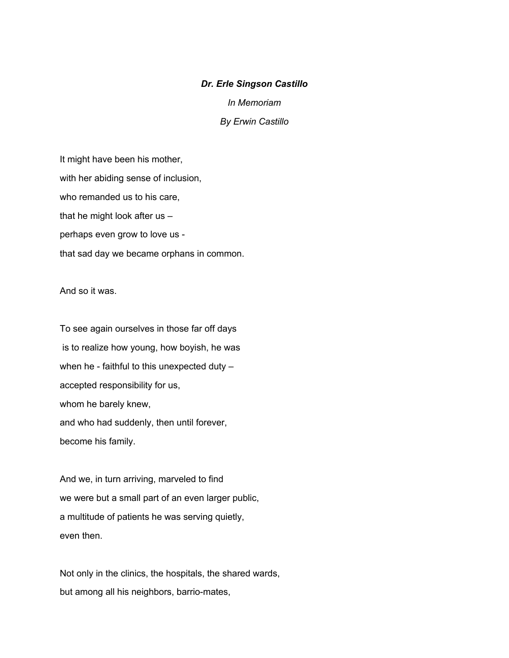## *Dr. Erle Singson Castillo*

*In Memoriam*

*By Erwin Castillo*

It might have been his mother, with her abiding sense of inclusion, who remanded us to his care, that he might look after us – perhaps even grow to love us that sad day we became orphans in common.

And so it was.

To see again ourselves in those far off days is to realize how young, how boyish, he was when he - faithful to this unexpected duty accepted responsibility for us, whom he barely knew, and who had suddenly, then until forever, become his family.

And we, in turn arriving, marveled to find we were but a small part of an even larger public, a multitude of patients he was serving quietly, even then.

Not only in the clinics, the hospitals, the shared wards, but among all his neighbors, barrio-mates,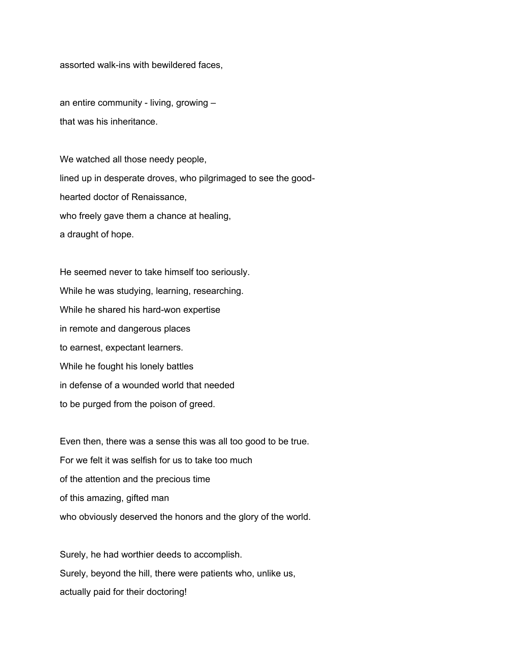assorted walk-ins with bewildered faces,

an entire community - living, growing – that was his inheritance.

We watched all those needy people, lined up in desperate droves, who pilgrimaged to see the goodhearted doctor of Renaissance, who freely gave them a chance at healing, a draught of hope.

He seemed never to take himself too seriously. While he was studying, learning, researching. While he shared his hard-won expertise in remote and dangerous places to earnest, expectant learners. While he fought his lonely battles in defense of a wounded world that needed to be purged from the poison of greed.

Even then, there was a sense this was all too good to be true. For we felt it was selfish for us to take too much of the attention and the precious time of this amazing, gifted man who obviously deserved the honors and the glory of the world.

Surely, he had worthier deeds to accomplish. Surely, beyond the hill, there were patients who, unlike us, actually paid for their doctoring!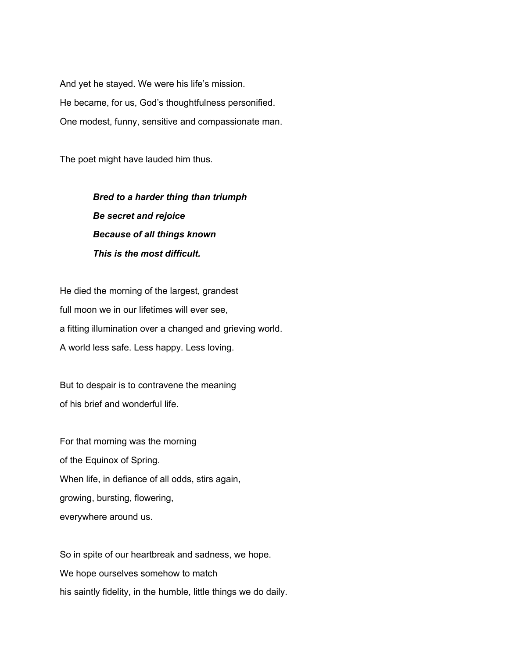And yet he stayed. We were his life's mission. He became, for us, God's thoughtfulness personified. One modest, funny, sensitive and compassionate man.

The poet might have lauded him thus.

 *Bred to a harder thing than triumph Be secret and rejoice Because of all things known This is the most difficult.*

He died the morning of the largest, grandest full moon we in our lifetimes will ever see, a fitting illumination over a changed and grieving world. A world less safe. Less happy. Less loving.

But to despair is to contravene the meaning of his brief and wonderful life.

For that morning was the morning of the Equinox of Spring. When life, in defiance of all odds, stirs again, growing, bursting, flowering, everywhere around us.

So in spite of our heartbreak and sadness, we hope. We hope ourselves somehow to match his saintly fidelity, in the humble, little things we do daily.